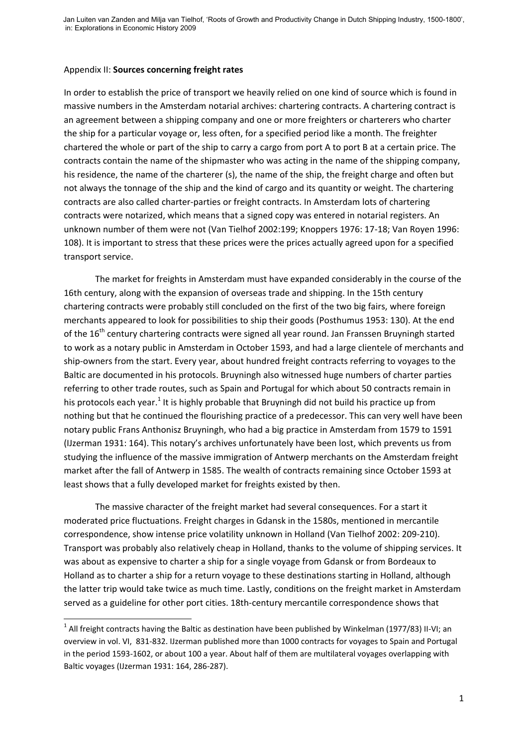## Appendix II: **Sources concerning freight rates**

**.** 

In order to establish the price of transport we heavily relied on one kind of source which is found in massive numbers in the Amsterdam notarial archives: chartering contracts. A chartering contract is an agreement between a shipping company and one or more freighters or charterers who charter the ship for a particular voyage or, less often, for a specified period like a month. The freighter chartered the whole or part of the ship to carry a cargo from port A to port B at a certain price. The contracts contain the name of the shipmaster who was acting in the name of the shipping company, his residence, the name of the charterer (s), the name of the ship, the freight charge and often but not always the tonnage of the ship and the kind of cargo and its quantity or weight. The chartering contracts are also called charter-parties or freight contracts. In Amsterdam lots of chartering contracts were notarized, which means that a signed copy was entered in notarial registers. An unknown number of them were not (Van Tielhof 2002:199; Knoppers 1976: 17-18; Van Royen 1996: 108). It is important to stress that these prices were the prices actually agreed upon for a specified transport service.

The market for freights in Amsterdam must have expanded considerably in the course of the 16th century, along with the expansion of overseas trade and shipping. In the 15th century chartering contracts were probably still concluded on the first of the two big fairs, where foreign merchants appeared to look for possibilities to ship their goods (Posthumus 1953: 130). At the end of the 16<sup>th</sup> century chartering contracts were signed all year round. Jan Franssen Bruyningh started to work as a notary public in Amsterdam in October 1593, and had a large clientele of merchants and ship-owners from the start. Every year, about hundred freight contracts referring to voyages to the Baltic are documented in his protocols. Bruyningh also witnessed huge numbers of charter parties referring to other trade routes, such as Spain and Portugal for which about 50 contracts remain in his protocols each year.<sup>1</sup> It is highly probable that Bruyningh did not build his practice up from nothing but that he continued the flourishing practice of a predecessor. This can very well have been notary public Frans Anthonisz Bruyningh, who had a big practice in Amsterdam from 1579 to 1591 (IJzerman 1931: 164). This notary's archives unfortunately have been lost, which prevents us from studying the influence of the massive immigration of Antwerp merchants on the Amsterdam freight market after the fall of Antwerp in 1585. The wealth of contracts remaining since October 1593 at least shows that a fully developed market for freights existed by then.

The massive character of the freight market had several consequences. For a start it moderated price fluctuations. Freight charges in Gdansk in the 1580s, mentioned in mercantile correspondence, show intense price volatility unknown in Holland (Van Tielhof 2002: 209-210). Transport was probably also relatively cheap in Holland, thanks to the volume of shipping services. It was about as expensive to charter a ship for a single voyage from Gdansk or from Bordeaux to Holland as to charter a ship for a return voyage to these destinations starting in Holland, although the latter trip would take twice as much time. Lastly, conditions on the freight market in Amsterdam served as a guideline for other port cities. 18th-century mercantile correspondence shows that

 $^1$  All freight contracts having the Baltic as destination have been published by Winkelman (1977/83) II-VI; an overview in vol. VI, 831-832. IJzerman published more than 1000 contracts for voyages to Spain and Portugal in the period 1593-1602, or about 100 a year. About half of them are multilateral voyages overlapping with Baltic voyages (IJzerman 1931: 164, 286-287).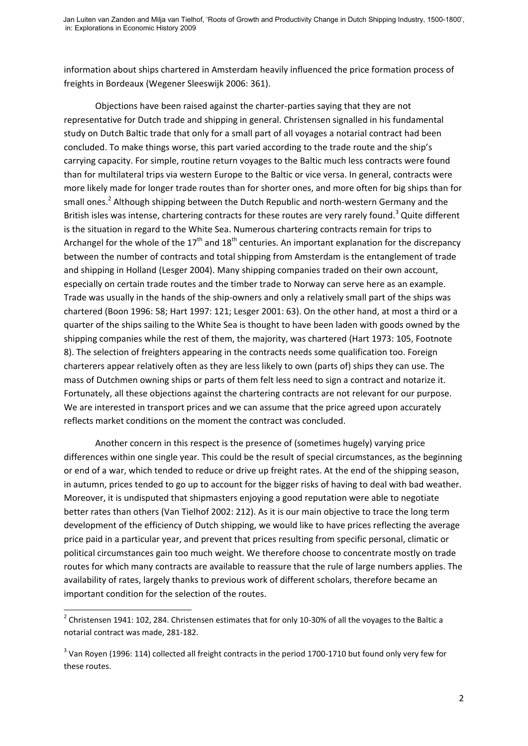information about ships chartered in Amsterdam heavily influenced the price formation process of freights in Bordeaux (Wegener Sleeswijk 2006: 361).

Objections have been raised against the charter-parties saying that they are not representative for Dutch trade and shipping in general. Christensen signalled in his fundamental study on Dutch Baltic trade that only for a small part of all voyages a notarial contract had been concluded. To make things worse, this part varied according to the trade route and the ship's carrying capacity. For simple, routine return voyages to the Baltic much less contracts were found than for multilateral trips via western Europe to the Baltic or vice versa. In general, contracts were more likely made for longer trade routes than for shorter ones, and more often for big ships than for small ones.<sup>2</sup> Although shipping between the Dutch Republic and north-western Germany and the British isles was intense, chartering contracts for these routes are very rarely found.<sup>3</sup> Quite different is the situation in regard to the White Sea. Numerous chartering contracts remain for trips to Archangel for the whole of the  $17<sup>th</sup>$  and  $18<sup>th</sup>$  centuries. An important explanation for the discrepancy between the number of contracts and total shipping from Amsterdam is the entanglement of trade and shipping in Holland (Lesger 2004). Many shipping companies traded on their own account, especially on certain trade routes and the timber trade to Norway can serve here as an example. Trade was usually in the hands of the ship-owners and only a relatively small part of the ships was chartered (Boon 1996: 58; Hart 1997: 121; Lesger 2001: 63). On the other hand, at most a third or a quarter of the ships sailing to the White Sea is thought to have been laden with goods owned by the shipping companies while the rest of them, the majority, was chartered (Hart 1973: 105, Footnote 8). The selection of freighters appearing in the contracts needs some qualification too. Foreign charterers appear relatively often as they are less likely to own (parts of) ships they can use. The mass of Dutchmen owning ships or parts of them felt less need to sign a contract and notarize it. Fortunately, all these objections against the chartering contracts are not relevant for our purpose. We are interested in transport prices and we can assume that the price agreed upon accurately reflects market conditions on the moment the contract was concluded.

Another concern in this respect is the presence of (sometimes hugely) varying price differences within one single year. This could be the result of special circumstances, as the beginning or end of a war, which tended to reduce or drive up freight rates. At the end of the shipping season, in autumn, prices tended to go up to account for the bigger risks of having to deal with bad weather. Moreover, it is undisputed that shipmasters enjoying a good reputation were able to negotiate better rates than others (Van Tielhof 2002: 212). As it is our main objective to trace the long term development of the efficiency of Dutch shipping, we would like to have prices reflecting the average price paid in a particular year, and prevent that prices resulting from specific personal, climatic or political circumstances gain too much weight. We therefore choose to concentrate mostly on trade routes for which many contracts are available to reassure that the rule of large numbers applies. The availability of rates, largely thanks to previous work of different scholars, therefore became an important condition for the selection of the routes.

**.** 

 $2$  Christensen 1941: 102, 284. Christensen estimates that for only 10-30% of all the voyages to the Baltic a notarial contract was made, 281-182.

 $3$  Van Royen (1996: 114) collected all freight contracts in the period 1700-1710 but found only very few for these routes.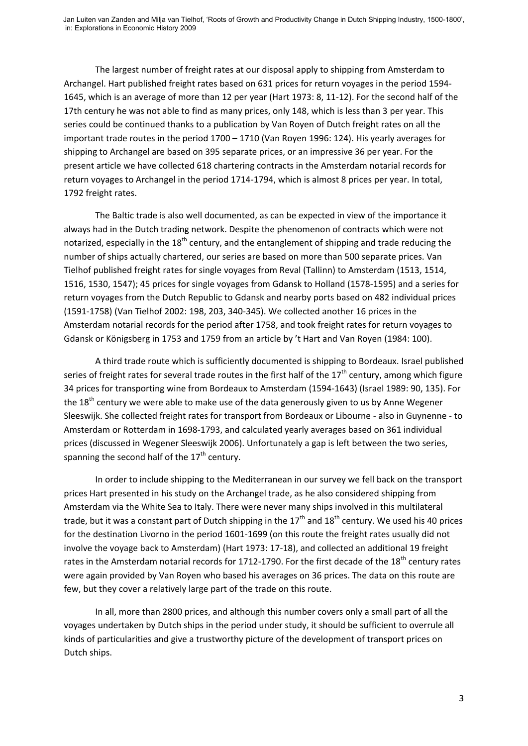The largest number of freight rates at our disposal apply to shipping from Amsterdam to Archangel. Hart published freight rates based on 631 prices for return voyages in the period 1594- 1645, which is an average of more than 12 per year (Hart 1973: 8, 11-12). For the second half of the 17th century he was not able to find as many prices, only 148, which is less than 3 per year. This series could be continued thanks to a publication by Van Royen of Dutch freight rates on all the important trade routes in the period 1700 – 1710 (Van Royen 1996: 124). His yearly averages for shipping to Archangel are based on 395 separate prices, or an impressive 36 per year. For the present article we have collected 618 chartering contracts in the Amsterdam notarial records for return voyages to Archangel in the period 1714-1794, which is almost 8 prices per year. In total, 1792 freight rates.

The Baltic trade is also well documented, as can be expected in view of the importance it always had in the Dutch trading network. Despite the phenomenon of contracts which were not notarized, especially in the  $18<sup>th</sup>$  century, and the entanglement of shipping and trade reducing the number of ships actually chartered, our series are based on more than 500 separate prices. Van Tielhof published freight rates for single voyages from Reval (Tallinn) to Amsterdam (1513, 1514, 1516, 1530, 1547); 45 prices for single voyages from Gdansk to Holland (1578-1595) and a series for return voyages from the Dutch Republic to Gdansk and nearby ports based on 482 individual prices (1591-1758) (Van Tielhof 2002: 198, 203, 340-345). We collected another 16 prices in the Amsterdam notarial records for the period after 1758, and took freight rates for return voyages to Gdansk or Königsberg in 1753 and 1759 from an article by 't Hart and Van Royen (1984: 100).

A third trade route which is sufficiently documented is shipping to Bordeaux. Israel published series of freight rates for several trade routes in the first half of the  $17<sup>th</sup>$  century, among which figure 34 prices for transporting wine from Bordeaux to Amsterdam (1594-1643) (Israel 1989: 90, 135). For the  $18<sup>th</sup>$  century we were able to make use of the data generously given to us by Anne Wegener Sleeswijk. She collected freight rates for transport from Bordeaux or Libourne - also in Guynenne - to Amsterdam or Rotterdam in 1698-1793, and calculated yearly averages based on 361 individual prices (discussed in Wegener Sleeswijk 2006). Unfortunately a gap is left between the two series, spanning the second half of the  $17<sup>th</sup>$  century.

In order to include shipping to the Mediterranean in our survey we fell back on the transport prices Hart presented in his study on the Archangel trade, as he also considered shipping from Amsterdam via the White Sea to Italy. There were never many ships involved in this multilateral trade, but it was a constant part of Dutch shipping in the  $17<sup>th</sup>$  and  $18<sup>th</sup>$  century. We used his 40 prices for the destination Livorno in the period 1601-1699 (on this route the freight rates usually did not involve the voyage back to Amsterdam) (Hart 1973: 17-18), and collected an additional 19 freight rates in the Amsterdam notarial records for 1712-1790. For the first decade of the 18<sup>th</sup> century rates were again provided by Van Royen who based his averages on 36 prices. The data on this route are few, but they cover a relatively large part of the trade on this route.

In all, more than 2800 prices, and although this number covers only a small part of all the voyages undertaken by Dutch ships in the period under study, it should be sufficient to overrule all kinds of particularities and give a trustworthy picture of the development of transport prices on Dutch ships.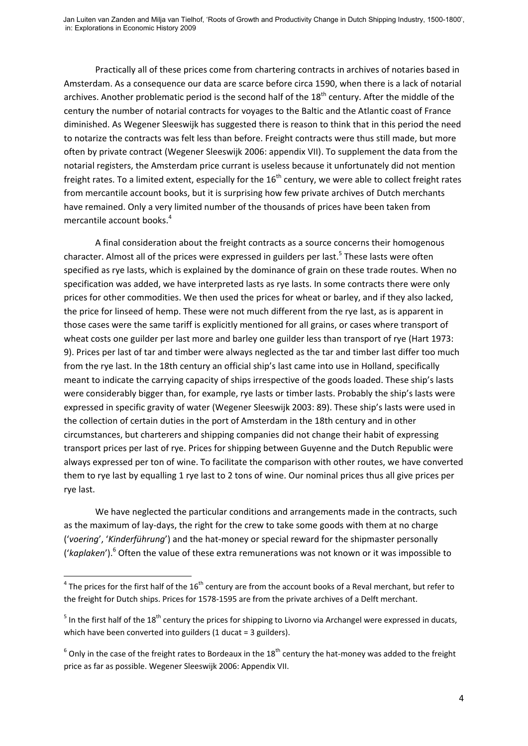Practically all of these prices come from chartering contracts in archives of notaries based in Amsterdam. As a consequence our data are scarce before circa 1590, when there is a lack of notarial archives. Another problematic period is the second half of the 18<sup>th</sup> century. After the middle of the century the number of notarial contracts for voyages to the Baltic and the Atlantic coast of France diminished. As Wegener Sleeswijk has suggested there is reason to think that in this period the need to notarize the contracts was felt less than before. Freight contracts were thus still made, but more often by private contract (Wegener Sleeswijk 2006: appendix VII). To supplement the data from the notarial registers, the Amsterdam price currant is useless because it unfortunately did not mention freight rates. To a limited extent, especially for the  $16<sup>th</sup>$  century, we were able to collect freight rates from mercantile account books, but it is surprising how few private archives of Dutch merchants have remained. Only a very limited number of the thousands of prices have been taken from mercantile account books. 4

A final consideration about the freight contracts as a source concerns their homogenous character. Almost all of the prices were expressed in guilders per last.<sup>5</sup> These lasts were often specified as rye lasts, which is explained by the dominance of grain on these trade routes. When no specification was added, we have interpreted lasts as rye lasts. In some contracts there were only prices for other commodities. We then used the prices for wheat or barley, and if they also lacked, the price for linseed of hemp. These were not much different from the rye last, as is apparent in those cases were the same tariff is explicitly mentioned for all grains, or cases where transport of wheat costs one guilder per last more and barley one guilder less than transport of rye (Hart 1973: 9). Prices per last of tar and timber were always neglected as the tar and timber last differ too much from the rye last. In the 18th century an official ship's last came into use in Holland, specifically meant to indicate the carrying capacity of ships irrespective of the goods loaded. These ship's lasts were considerably bigger than, for example, rye lasts or timber lasts. Probably the ship's lasts were expressed in specific gravity of water (Wegener Sleeswijk 2003: 89). These ship's lasts were used in the collection of certain duties in the port of Amsterdam in the 18th century and in other circumstances, but charterers and shipping companies did not change their habit of expressing transport prices per last of rye. Prices for shipping between Guyenne and the Dutch Republic were always expressed per ton of wine. To facilitate the comparison with other routes, we have converted them to rye last by equalling 1 rye last to 2 tons of wine. Our nominal prices thus all give prices per rye last.

We have neglected the particular conditions and arrangements made in the contracts, such as the maximum of lay-days, the right for the crew to take some goods with them at no charge ('*voering*', '*Kinderführung*') and the hat-money or special reward for the shipmaster personally ('*kaplaken*'). <sup>6</sup> Often the value of these extra remunerations was not known or it was impossible to

**.** 

 $^4$  The prices for the first half of the 16<sup>th</sup> century are from the account books of a Reval merchant, but refer to the freight for Dutch ships. Prices for 1578-1595 are from the private archives of a Delft merchant.

 $5$  In the first half of the 18<sup>th</sup> century the prices for shipping to Livorno via Archangel were expressed in ducats, which have been converted into guilders (1 ducat = 3 guilders).

 $^6$  Only in the case of the freight rates to Bordeaux in the 18<sup>th</sup> century the hat-money was added to the freight price as far as possible. Wegener Sleeswijk 2006: Appendix VII.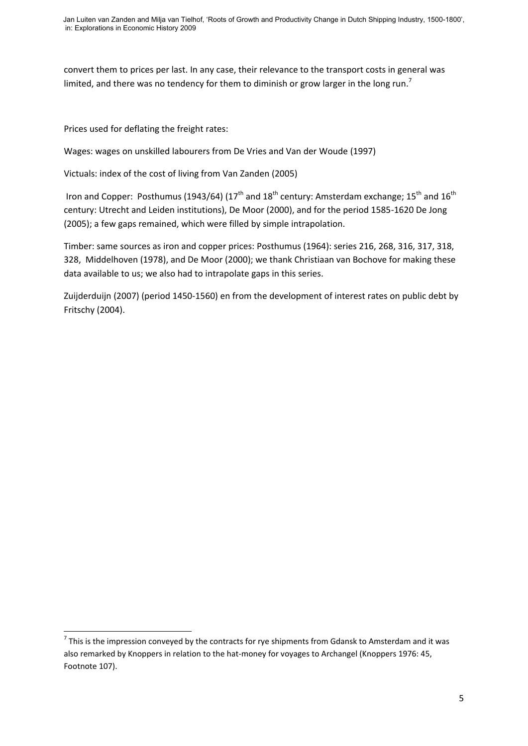convert them to prices per last. In any case, their relevance to the transport costs in general was limited, and there was no tendency for them to diminish or grow larger in the long run.<sup>7</sup>

Prices used for deflating the freight rates:

Wages: wages on unskilled labourers from De Vries and Van der Woude (1997)

Victuals: index of the cost of living from Van Zanden (2005)

Iron and Copper: Posthumus (1943/64) (17<sup>th</sup> and 18<sup>th</sup> century: Amsterdam exchange: 15<sup>th</sup> and 16<sup>th</sup> century: Utrecht and Leiden institutions), De Moor (2000), and for the period 1585-1620 De Jong (2005); a few gaps remained, which were filled by simple intrapolation.

Timber: same sources as iron and copper prices: Posthumus (1964): series 216, 268, 316, 317, 318, 328, Middelhoven (1978), and De Moor (2000); we thank Christiaan van Bochove for making these data available to us; we also had to intrapolate gaps in this series.

Zuijderduijn (2007) (period 1450-1560) en from the development of interest rates on public debt by Fritschy (2004).

<sup>————————————————————&</sup>lt;br><sup>7</sup> This is the impression conveyed by the contracts for rye shipments from Gdansk to Amsterdam and it was also remarked by Knoppers in relation to the hat-money for voyages to Archangel (Knoppers 1976: 45, Footnote 107).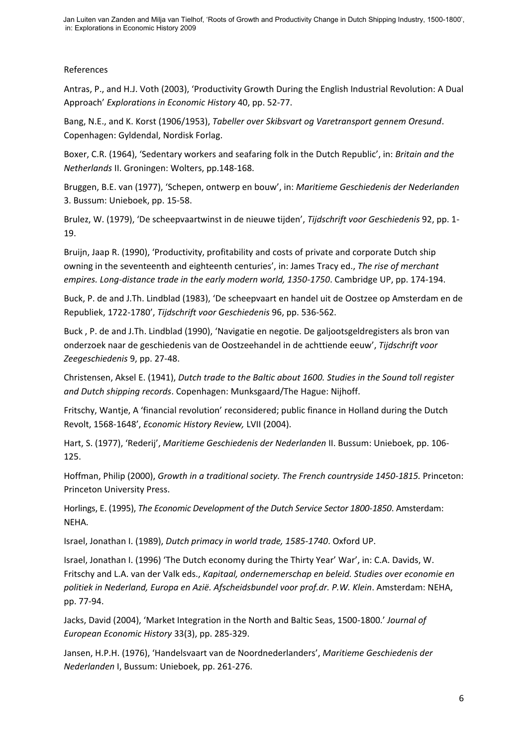## References

Antras, P., and H.J. Voth (2003), 'Productivity Growth During the English Industrial Revolution: A Dual Approach' *Explorations in Economic History* 40, pp. 52-77.

Bang, N.E., and K. Korst (1906/1953), *Tabeller over Skibsvart og Varetransport gennem Oresund*. Copenhagen: Gyldendal, Nordisk Forlag.

Boxer, C.R. (1964), 'Sedentary workers and seafaring folk in the Dutch Republic', in: *Britain and the Netherlands* II. Groningen: Wolters, pp.148-168.

Bruggen, B.E. van (1977), 'Schepen, ontwerp en bouw', in: *Maritieme Geschiedenis der Nederlanden* 3. Bussum: Unieboek, pp. 15-58.

Brulez, W. (1979), 'De scheepvaartwinst in de nieuwe tijden', *Tijdschrift voor Geschiedenis* 92, pp. 1- 19.

Bruijn, Jaap R. (1990), 'Productivity, profitability and costs of private and corporate Dutch ship owning in the seventeenth and eighteenth centuries', in: James Tracy ed., *The rise of merchant empires. Long-distance trade in the early modern world, 1350-1750*. Cambridge UP, pp. 174-194.

Buck, P. de and J.Th. Lindblad (1983), 'De scheepvaart en handel uit de Oostzee op Amsterdam en de Republiek, 1722-1780', *Tijdschrift voor Geschiedenis* 96, pp. 536-562.

Buck , P. de and J.Th. Lindblad (1990), 'Navigatie en negotie. De galjootsgeldregisters als bron van onderzoek naar de geschiedenis van de Oostzeehandel in de achttiende eeuw', *Tijdschrift voor Zeegeschiedenis* 9, pp. 27-48.

Christensen, Aksel E. (1941), *Dutch trade to the Baltic about 1600. Studies in the Sound toll register and Dutch shipping records*. Copenhagen: Munksgaard/The Hague: Nijhoff.

Fritschy, Wantje, A 'financial revolution' reconsidered; public finance in Holland during the Dutch Revolt, 1568-1648', *E*c*onomic History Review,* LVII (2004).

Hart, S. (1977), 'Rederij', *Maritieme Geschiedenis der Nederlanden* II. Bussum: Unieboek, pp. 106- 125.

Hoffman, Philip (2000), *Growth in a traditional society. The French countryside 1450-1815.* Princeton: Princeton University Press.

Horlings, E. (1995), *The Economic Development of the Dutch Service Sector 1800-1850*. Amsterdam: NEHA.

Israel, Jonathan I. (1989), *Dutch primacy in world trade, 1585-1740*. Oxford UP.

Israel, Jonathan I. (1996) 'The Dutch economy during the Thirty Year' War', in: C.A. Davids, W. Fritschy and L.A. van der Valk eds., *Kapitaal, ondernemerschap en beleid. Studies over economie en politiek in Nederland, Europa en Azië. Afscheidsbundel voor prof.dr. P.W. Klein*. Amsterdam: NEHA, pp. 77-94.

Jacks, David (2004), 'Market Integration in the North and Baltic Seas, 1500-1800.' *Journal of European Economic History* 33(3), pp. 285-329.

Jansen, H.P.H. (1976), 'Handelsvaart van de Noordnederlanders', *Maritieme Geschiedenis der Nederlanden* I, Bussum: Unieboek, pp. 261-276.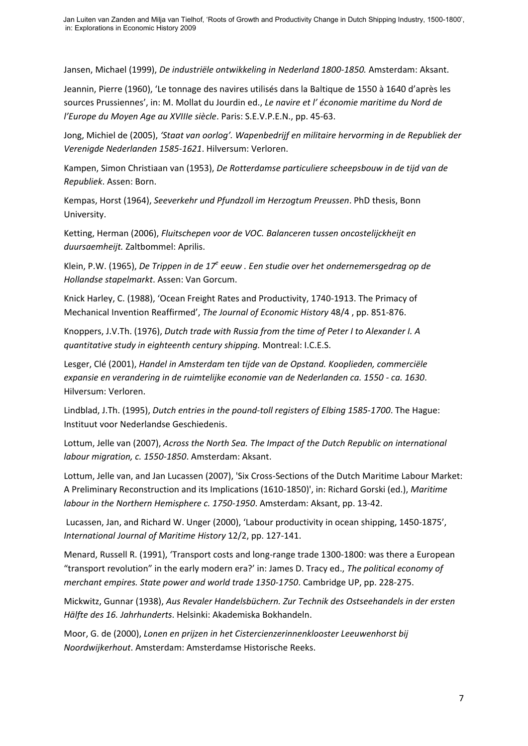Jansen, Michael (1999), *De industriële ontwikkeling in Nederland 1800-1850.* Amsterdam: Aksant.

Jeannin, Pierre (1960), 'Le tonnage des navires utilisés dans la Baltique de 1550 à 1640 d'après les sources Prussiennes', in: M. Mollat du Jourdin ed., *Le navire et l' économie maritime du Nord de l'Europe du Moyen Age au XVIIIe siècle*. Paris: S.E.V.P.E.N., pp. 45-63.

Jong, Michiel de (2005), *'Staat van oorlog'. Wapenbedrijf en militaire hervorming in de Republiek der Verenigde Nederlanden 1585-1621*. Hilversum: Verloren.

Kampen, Simon Christiaan van (1953), *De Rotterdamse particuliere scheepsbouw in de tijd van de Republiek*. Assen: Born.

Kempas, Horst (1964), *Seeverkehr und Pfundzoll im Herzogtum Preussen*. PhD thesis, Bonn University.

Ketting, Herman (2006), *Fluitschepen voor de VOC. Balanceren tussen oncostelijckheijt en duursaemheijt.* Zaltbommel: Aprilis.

Klein, P.W. (1965), De Trippen in de 17<sup>e</sup> eeuw . Een studie over het ondernemersgedrag op de *Hollandse stapelmarkt*. Assen: Van Gorcum.

Knick Harley, C. (1988), 'Ocean Freight Rates and Productivity, 1740-1913. The Primacy of Mechanical Invention Reaffirmed', *The Journal of Economic History* 48/4 , pp. 851-876.

Knoppers, J.V.Th. (1976), *Dutch trade with Russia from the time of Peter I to Alexander I. A quantitative study in eighteenth century shipping.* Montreal: I.C.E.S.

Lesger, Clé (2001), *Handel in Amsterdam ten tijde van de Opstand. Kooplieden, commerciële expansie en verandering in de ruimtelijke economie van de Nederlanden ca. 1550 - ca. 1630*. Hilversum: Verloren.

Lindblad, J.Th. (1995), *Dutch entries in the pound-toll registers of Elbing 1585-1700*. The Hague: Instituut voor Nederlandse Geschiedenis.

Lottum, Jelle van (2007), *Across the North Sea. The Impact of the Dutch Republic on international labour migration, c. 1550-1850*. Amsterdam: Aksant.

Lottum, Jelle van, and Jan Lucassen (2007), 'Six Cross-Sections of the Dutch Maritime Labour Market: A Preliminary Reconstruction and its Implications (1610-1850)', in: Richard Gorski (ed.), *Maritime labour in the Northern Hemisphere c. 1750-1950*. Amsterdam: Aksant, pp. 13-42.

Lucassen, Jan, and Richard W. Unger (2000), 'Labour productivity in ocean shipping, 1450-1875', *International Journal of Maritime History* 12/2, pp. 127-141.

Menard, Russell R. (1991), 'Transport costs and long-range trade 1300-1800: was there a European "transport revolution" in the early modern era?' in: James D. Tracy ed., *The political economy of merchant empires. State power and world trade 1350-1750*. Cambridge UP, pp. 228-275.

Mickwitz, Gunnar (1938), *Aus Revaler Handelsbüchern. Zur Technik des Ostseehandels in der ersten Hälfte des 16. Jahrhunderts*. Helsinki: Akademiska Bokhandeln.

Moor, G. de (2000), *Lonen en prijzen in het Cistercienzerinnenklooster Leeuwenhorst bij Noordwijkerhout*. Amsterdam: Amsterdamse Historische Reeks.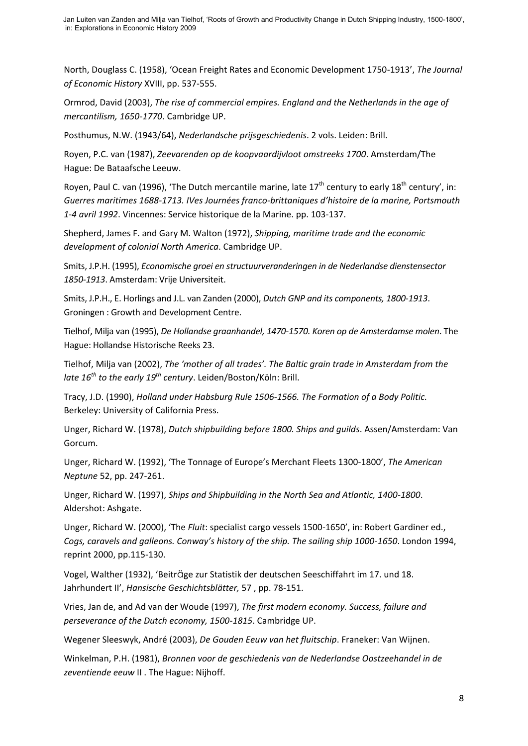North, Douglass C. (1958), 'Ocean Freight Rates and Economic Development 1750-1913', *The Journal of Economic History* XVIII, pp. 537-555.

Ormrod, David (2003), *The rise of commercial empires. England and the Netherlands in the age of mercantilism, 1650-1770*. Cambridge UP.

Posthumus, N.W. (1943/64), *Nederlandsche prijsgeschiedenis*. 2 vols. Leiden: Brill.

Royen, P.C. van (1987), *Zeevarenden op de koopvaardijvloot omstreeks 1700*. Amsterdam/The Hague: De Bataafsche Leeuw.

Royen, Paul C. van (1996), 'The Dutch mercantile marine, late  $17<sup>th</sup>$  century to early  $18<sup>th</sup>$  century', in: *Guerres maritimes 1688-1713. IVes Journées franco-brittaniques d'histoire de la marine, Portsmouth 1-4 avril 1992*. Vincennes: Service historique de la Marine. pp. 103-137.

Shepherd, James F. and Gary M. Walton (1972), *Shipping, maritime trade and the economic development of colonial North America*. Cambridge UP.

Smits, J.P.H. (1995), *Economische groei en structuurveranderingen in de Nederlandse dienstensector 1850-1913*. Amsterdam: Vrije Universiteit.

Smits, J.P.H., E. Horlings and J.L. van Zanden (2000), *Dutch GNP and its components, 1800-1913*. Groningen : Growth and Development Centre.

Tielhof, Milja van (1995), *De Hollandse graanhandel, 1470-1570. Koren op de Amsterdamse molen*. The Hague: Hollandse Historische Reeks 23.

Tielhof, Milja van (2002), *The 'mother of all trades'. The Baltic grain trade in Amsterdam from the late 16th to the early 19th century*. Leiden/Boston/Köln: Brill.

Tracy, J.D. (1990), *Holland under Habsburg Rule 1506-1566. The Formation of a Body Politic.* Berkeley: University of California Press.

Unger, Richard W. (1978), *Dutch shipbuilding before 1800. Ships and guilds*. Assen/Amsterdam: Van Gorcum.

Unger, Richard W. (1992), 'The Tonnage of Europe's Merchant Fleets 1300-1800', *The American Neptune* 52, pp. 247-261.

Unger, Richard W. (1997), *Ships and Shipbuilding in the North Sea and Atlantic, 1400-1800*. Aldershot: Ashgate.

Unger, Richard W. (2000), 'The *Fluit*: specialist cargo vessels 1500-1650', in: Robert Gardiner ed., *Cogs, caravels and galleons. Conway's history of the ship. The sailing ship 1000-1650*. London 1994, reprint 2000, pp.115-130.

Vogel, Walther (1932), 'Beiträge zur Statistik der deutschen Seeschiffahrt im 17. und 18. Jahrhundert II', *Hansische Geschichtsblätter,* 57 , pp. 78-151.

Vries, Jan de, and Ad van der Woude (1997), *The first modern economy. Success, failure and perseverance of the Dutch economy, 1500-1815*. Cambridge UP.

Wegener Sleeswyk, André (2003), *De Gouden Eeuw van het fluitschip*. Franeker: Van Wijnen.

Winkelman, P.H. (1981), *Bronnen voor de geschiedenis van de Nederlandse Oostzeehandel in de zeventiende eeuw* II . The Hague: Nijhoff.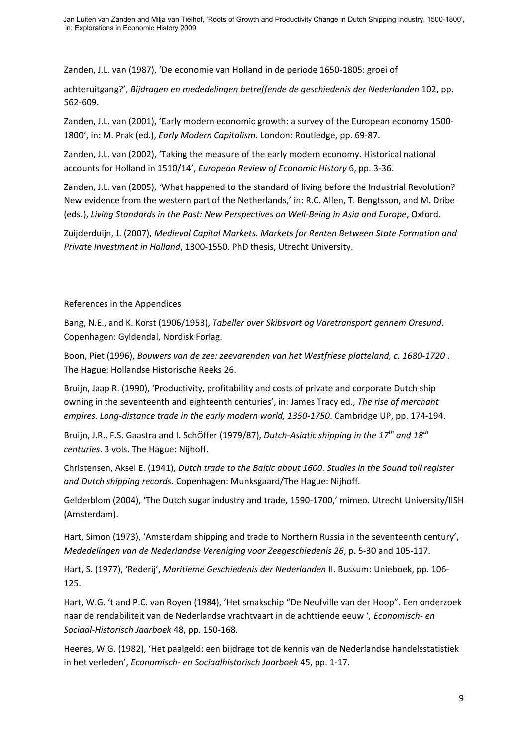Zanden, J.L. van (1987), 'De economie van Holland in de periode 1650-1805: groei of

achteruitgang?', *Bijdragen en mededelingen betreffende de geschiedenis der Nederlanden* 102, pp. 562-609.

Zanden, J.L. van (2001), 'Early modern economic growth: a survey of the European economy 1500- 1800', in: M. Prak (ed.), *Early Modern Capitalism.* London: Routledge, pp. 69-87.

Zanden, J.L. van (2002), 'Taking the measure of the early modern economy. Historical national accounts for Holland in 1510/14', *European Review of Economic History* 6, pp. 3-36.

Zanden, J.L. van (2005), *'*What happened to the standard of living before the Industrial Revolution? New evidence from the western part of the Netherlands,' in: R.C. Allen, T. Bengtsson, and M. Dribe (eds.), *Living Standards in the Past: New Perspectives on Well-Being in Asia and Europe*, Oxford.

Zuijderduijn, J. (2007), *Medieval Capital Markets. Markets for Renten Between State Formation and Private Investment in Holland*, 1300-1550. PhD thesis, Utrecht University.

## References in the Appendices

Bang, N.E., and K. Korst (1906/1953), *Tabeller over Skibsvart og Varetransport gennem Oresund*. Copenhagen: Gyldendal, Nordisk Forlag.

Boon, Piet (1996), *Bouwers van de zee: zeevarenden van het Westfriese platteland, c. 1680-1720* . The Hague: Hollandse Historische Reeks 26.

Bruijn, Jaap R. (1990), 'Productivity, profitability and costs of private and corporate Dutch ship owning in the seventeenth and eighteenth centuries', in: James Tracy ed., *The rise of merchant empires. Long-distance trade in the early modern world, 1350-1750*. Cambridge UP, pp. 174-194.

Bruijn, J.R., F.S. Gaastra and I. Schöffer (1979/87), *Dutch-Asiatic shipping in the 17th and 18th centuries*. 3 vols. The Hague: Nijhoff.

Christensen, Aksel E. (1941), *Dutch trade to the Baltic about 1600. Studies in the Sound toll register and Dutch shipping records*. Copenhagen: Munksgaard/The Hague: Nijhoff.

Gelderblom (2004), 'The Dutch sugar industry and trade, 1590-1700,' mimeo. Utrecht University/IISH (Amsterdam).

Hart, Simon (1973), 'Amsterdam shipping and trade to Northern Russia in the seventeenth century', *Mededelingen van de Nederlandse Vereniging voor Zeegeschiedenis 26*, p. 5-30 and 105-117.

Hart, S. (1977), 'Rederij', *Maritieme Geschiedenis der Nederlanden* II. Bussum: Unieboek, pp. 106- 125.

Hart, W.G. 't and P.C. van Royen (1984), 'Het smakschip "De Neufville van der Hoop". Een onderzoek naar de rendabiliteit van de Nederlandse vrachtvaart in de achttiende eeuw ', *Economisch- en Sociaal-Historisch Jaarboek* 48, pp. 150-168.

Heeres, W.G. (1982), 'Het paalgeld: een bijdrage tot de kennis van de Nederlandse handelsstatistiek in het verleden', *Economisch- en Sociaalhistorisch Jaarboek* 45, pp. 1-17.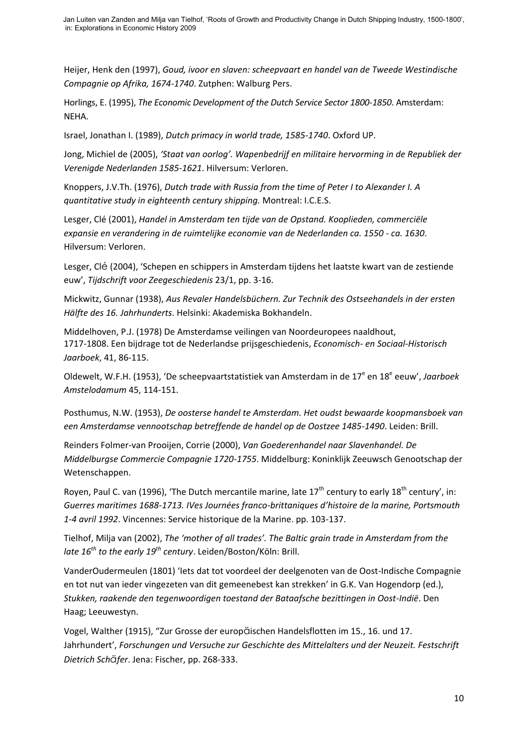Heijer, Henk den (1997), *Goud, ivoor en slaven: scheepvaart en handel van de Tweede Westindische Compagnie op Afrika, 1674-1740*. Zutphen: Walburg Pers.

Horlings, E. (1995), *The Economic Development of the Dutch Service Sector 1800-1850*. Amsterdam: NEHA.

Israel, Jonathan I. (1989), *Dutch primacy in world trade, 1585-1740*. Oxford UP.

Jong, Michiel de (2005), *'Staat van oorlog'. Wapenbedrijf en militaire hervorming in de Republiek der Verenigde Nederlanden 1585-1621*. Hilversum: Verloren.

Knoppers, J.V.Th. (1976), *Dutch trade with Russia from the time of Peter I to Alexander I. A quantitative study in eighteenth century shipping.* Montreal: I.C.E.S.

Lesger, Clé (2001), *Handel in Amsterdam ten tijde van de Opstand. Kooplieden, commerciële expansie en verandering in de ruimtelijke economie van de Nederlanden ca. 1550 - ca. 1630*. Hilversum: Verloren.

Lesger, Clé (2004), 'Schepen en schippers in Amsterdam tijdens het laatste kwart van de zestiende euw', *Tijdschrift voor Zeegeschiedenis* 23/1, pp. 3-16.

Mickwitz, Gunnar (1938), *Aus Revaler Handelsbüchern. Zur Technik des Ostseehandels in der ersten Hälfte des 16. Jahrhunderts*. Helsinki: Akademiska Bokhandeln.

Middelhoven, P.J. (1978) De Amsterdamse veilingen van Noordeuropees naaldhout, 1717-1808. Een bijdrage tot de Nederlandse prijsgeschiedenis, *Economisch- en Sociaal-Historisch Jaarboek*, 41, 86-115.

Oldewelt, W.F.H. (1953), 'De scheepvaartstatistiek van Amsterdam in de 17<sup>e</sup> en 18<sup>e</sup> eeuw', Jaarboek *Amstelodamum* 45, 114-151.

Posthumus, N.W. (1953), *De oosterse handel te Amsterdam. Het oudst bewaarde koopmansboek van een Amsterdamse vennootschap betreffende de handel op de Oostzee 1485-1490*. Leiden: Brill.

Reinders Folmer-van Prooijen, Corrie (2000), *Van Goederenhandel naar Slavenhandel. De Middelburgse Commercie Compagnie 1720-1755*. Middelburg: Koninklijk Zeeuwsch Genootschap der Wetenschappen.

Royen, Paul C. van (1996), 'The Dutch mercantile marine, late  $17<sup>th</sup>$  century to early  $18<sup>th</sup>$  century', in: *Guerres maritimes 1688-1713. IVes Journées franco-brittaniques d'histoire de la marine, Portsmouth 1-4 avril 1992*. Vincennes: Service historique de la Marine. pp. 103-137.

Tielhof, Milja van (2002), *The 'mother of all trades'. The Baltic grain trade in Amsterdam from the late 16th to the early 19th century*. Leiden/Boston/Köln: Brill.

VanderOudermeulen (1801) 'Iets dat tot voordeel der deelgenoten van de Oost-Indische Compagnie en tot nut van ieder vingezeten van dit gemeenebest kan strekken' in G.K. Van Hogendorp (ed.), *Stukken, raakende den tegenwoordigen toestand der Bataafsche bezittingen in Oost-Indië*. Den Haag; Leeuwestyn.

Vogel, Walther (1915), "Zur Grosse der europäischen Handelsflotten im 15., 16. und 17. Jahrhundert', *Forschungen und Versuche zur Geschichte des Mittelalters und der Neuzeit. Festschrift Dietrich Schäfer*. Jena: Fischer, pp. 268-333.